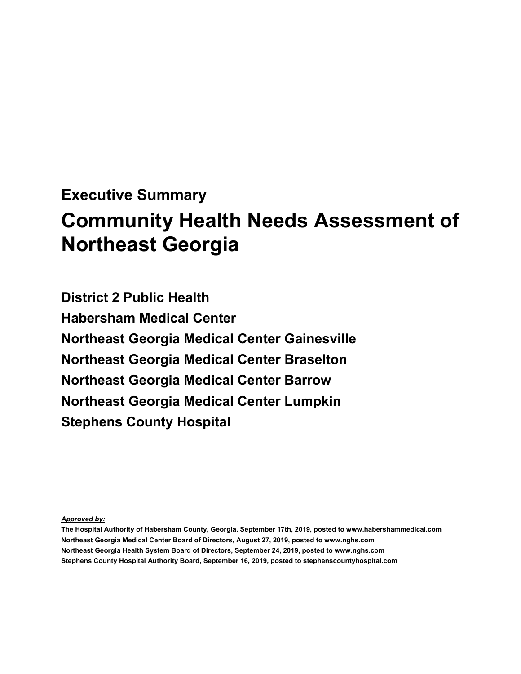## **Executive Summary Community Health Needs Assessment of Northeast Georgia**

**District 2 Public Health Habersham Medical Center Northeast Georgia Medical Center Gainesville Northeast Georgia Medical Center Braselton Northeast Georgia Medical Center Barrow Northeast Georgia Medical Center Lumpkin Stephens County Hospital**

*Approved by:* 

**The Hospital Authority of Habersham County, Georgia, September 17th, 2019, posted to www.habershammedical.com Northeast Georgia Medical Center Board of Directors, August 27, 2019, posted to www.nghs.com Northeast Georgia Health System Board of Directors, September 24, 2019, posted to www.nghs.com Stephens County Hospital Authority Board, September 16, 2019, posted to stephenscountyhospital.com**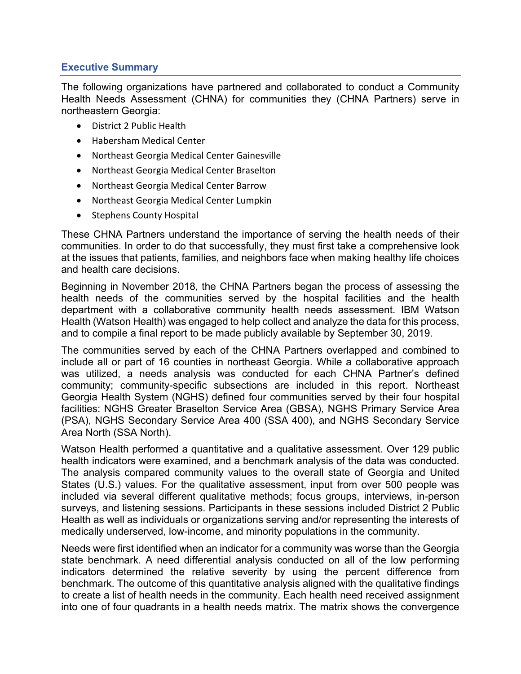## **Executive Summary**

The following organizations have partnered and collaborated to conduct a Community Health Needs Assessment (CHNA) for communities they (CHNA Partners) serve in northeastern Georgia:

- District 2 Public Health
- Habersham Medical Center
- Northeast Georgia Medical Center Gainesville
- Northeast Georgia Medical Center Braselton
- Northeast Georgia Medical Center Barrow
- Northeast Georgia Medical Center Lumpkin
- Stephens County Hospital

These CHNA Partners understand the importance of serving the health needs of their communities. In order to do that successfully, they must first take a comprehensive look at the issues that patients, families, and neighbors face when making healthy life choices and health care decisions.

Beginning in November 2018, the CHNA Partners began the process of assessing the health needs of the communities served by the hospital facilities and the health department with a collaborative community health needs assessment. IBM Watson Health (Watson Health) was engaged to help collect and analyze the data for this process, and to compile a final report to be made publicly available by September 30, 2019.

The communities served by each of the CHNA Partners overlapped and combined to include all or part of 16 counties in northeast Georgia. While a collaborative approach was utilized, a needs analysis was conducted for each CHNA Partner's defined community; community-specific subsections are included in this report. Northeast Georgia Health System (NGHS) defined four communities served by their four hospital facilities: NGHS Greater Braselton Service Area (GBSA), NGHS Primary Service Area (PSA), NGHS Secondary Service Area 400 (SSA 400), and NGHS Secondary Service Area North (SSA North).

Watson Health performed a quantitative and a qualitative assessment. Over 129 public health indicators were examined, and a benchmark analysis of the data was conducted. The analysis compared community values to the overall state of Georgia and United States (U.S.) values. For the qualitative assessment, input from over 500 people was included via several different qualitative methods; focus groups, interviews, in-person surveys, and listening sessions. Participants in these sessions included District 2 Public Health as well as individuals or organizations serving and/or representing the interests of medically underserved, low-income, and minority populations in the community.

Needs were first identified when an indicator for a community was worse than the Georgia state benchmark. A need differential analysis conducted on all of the low performing indicators determined the relative severity by using the percent difference from benchmark. The outcome of this quantitative analysis aligned with the qualitative findings to create a list of health needs in the community. Each health need received assignment into one of four quadrants in a health needs matrix. The matrix shows the convergence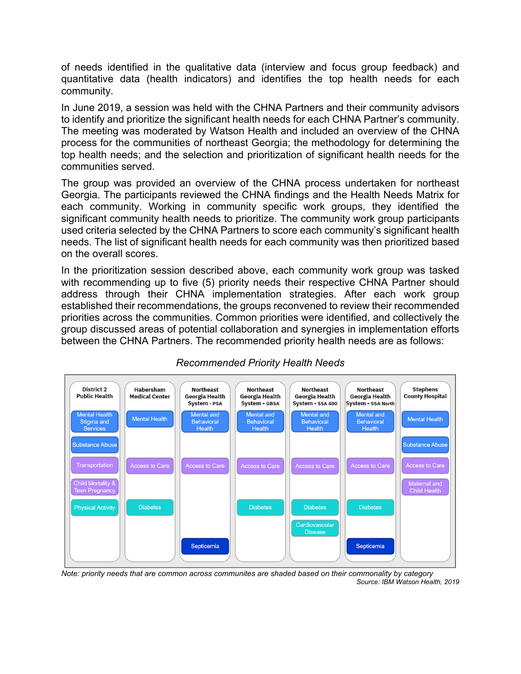of needs identified in the qualitative data (interview and focus group feedback) and quantitative data (health indicators) and identifies the top health needs for each community.

In June 2019, a session was held with the CHNA Partners and their community advisors to identify and prioritize the significant health needs for each CHNA Partner's community. The meeting was moderated by Watson Health and included an overview of the CHNA process for the communities of northeast Georgia; the methodology for determining the top health needs; and the selection and prioritization of significant health needs for the communities served.

The group was provided an overview of the CHNA process undertaken for northeast Georgia. The participants reviewed the CHNA findings and the Health Needs Matrix for each community. Working in community specific work groups, they identified the significant community health needs to prioritize. The community work group participants used criteria selected by the CHNA Partners to score each community's significant health needs. The list of significant health needs for each community was then prioritized based on the overall scores.

In the prioritization session described above, each community work group was tasked with recommending up to five (5) priority needs their respective CHNA Partner should address through their CHNA implementation strategies. After each work group established their recommendations, the groups reconvened to review their recommended priorities across the communities. Common priorities were identified, and collectively the group discussed areas of potential collaboration and synergies in implementation efforts between the CHNA Partners. The recommended priority health needs are as follows:



## *Recommended Priority Health Needs*

*Note: priority needs that are common across communites are shaded based on their commonality by category Source: IBM Watson Health, 2019*